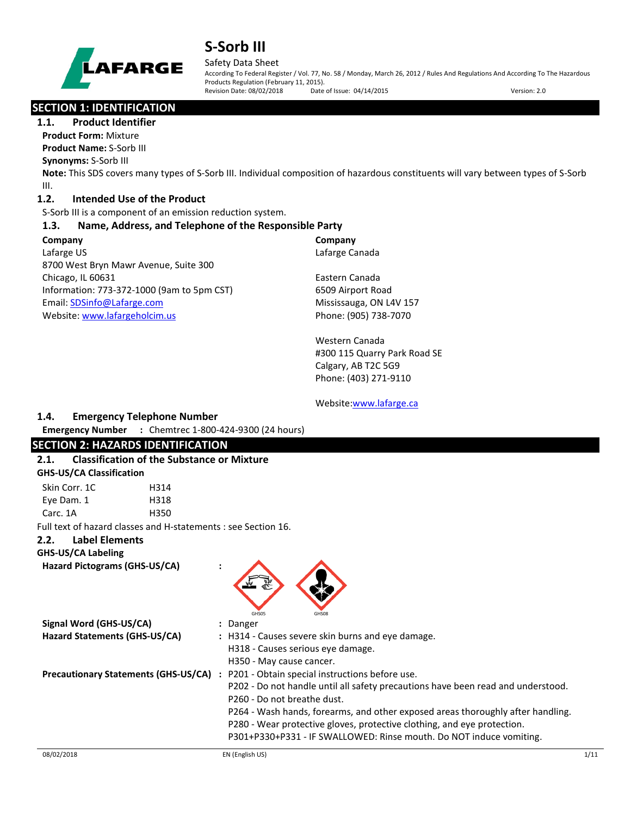

#### Safety Data Sheet

According To Federal Register / Vol. 77, No. 58 / Monday, March 26, 2012 / Rules And Regulations And According To The Hazardous Products Regulation (February 11, 2015). Revision Date: 08/02/2018 Date of Issue: 04/14/2015 Version: 2.0

## **SECTION 1: IDENTIFICATION**

**1.1. Product Identifier**

**Product Form:** Mixture **Product Name:** S-Sorb III

**Synonyms:** S-Sorb III

**Note:** This SDS covers many types of S-Sorb III. Individual composition of hazardous constituents will vary between types of S-Sorb III.

### **1.2. Intended Use of the Product**

S-Sorb III is a component of an emission reduction system.

### **1.3. Name, Address, and Telephone of the Responsible Party**

#### **Company**  Lafarge US 8700 West Bryn Mawr Avenue, Suite 300 Chicago, IL 60631 Information: 773-372-1000 (9am to 5pm CST) Email[: SDSinfo@Lafarge.com](file://andre/Users/jbenson/MINE/Lafarge/Batch%204/SDSinfo@Lafarge.com) Website: [www.lafargeholcim.us](file://andre/Users/jbenson/MINE/Lafarge/Batch%204/www.lafargeholcim.us)

**Company** Lafarge Canada

Eastern Canada 6509 Airport Road Mississauga, ON L4V 157 Phone: (905) 738-7070

Western Canada #300 115 Quarry Park Road SE Calgary, AB T2C 5G9 Phone: (403) 271-9110

#### Website[:www.lafarge.ca](file://andre/Users/jbenson/MINE/Lafarge/Batch%204/www.lafarge.ca)

### **1.4. Emergency Telephone Number**

**Emergency Number :** Chemtrec 1-800-424-9300 (24 hours)

## **SECTION 2: HAZARDS IDENTIFICATION**

### **2.1. Classification of the Substance or Mixture**

#### **GHS-US/CA Classification**

| Skin Corr. 1C | H314 |
|---------------|------|
| Eye Dam. 1    | H318 |
| Carc. 1A      | H350 |

Full text of hazard classes and H-statements : see Section 16.

### **2.2. Label Elements**

### **GHS-US/CA Labeling**

**Hazard Pictograms (GHS-US/CA) :**



| Signal Word (GHS-US/CA)                     | : Danger                                                                         |
|---------------------------------------------|----------------------------------------------------------------------------------|
| Hazard Statements (GHS-US/CA)               | : H314 - Causes severe skin burns and eye damage.                                |
|                                             | H318 - Causes serious eye damage.                                                |
|                                             | H350 - May cause cancer.                                                         |
| <b>Precautionary Statements (GHS-US/CA)</b> | P201 - Obtain special instructions before use.<br>$\mathbf{L}$                   |
|                                             | P202 - Do not handle until all safety precautions have been read and understood. |
|                                             | P260 - Do not breathe dust.                                                      |
|                                             | P264 - Wash hands, forearms, and other exposed areas thoroughly after handling.  |
|                                             | P280 - Wear protective gloves, protective clothing, and eye protection.          |
|                                             | P301+P330+P331 - IF SWALLOWED: Rinse mouth. Do NOT induce vomiting.              |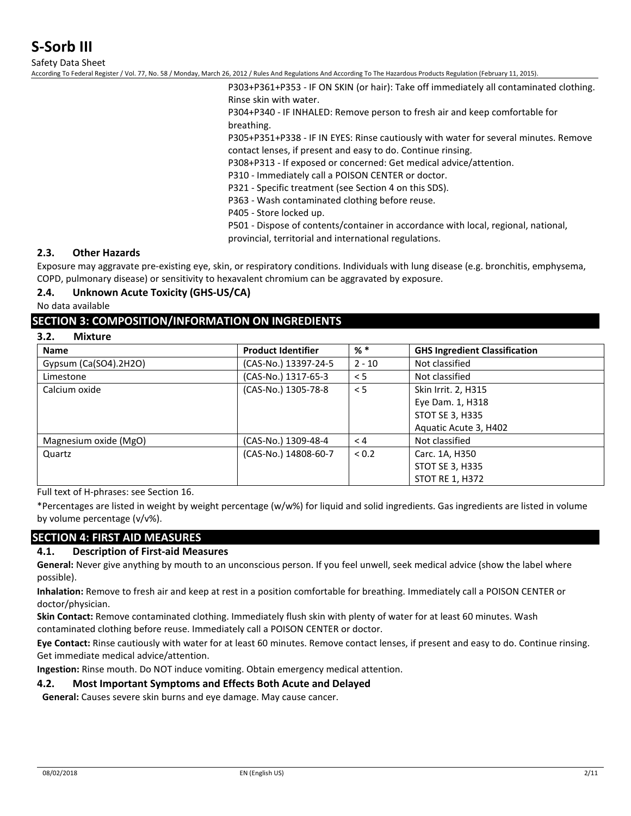Safety Data Sheet

According To Federal Register / Vol. 77, No. 58 / Monday, March 26, 2012 / Rules And Regulations And According To The Hazardous Products Regulation (February 11, 2015).

P303+P361+P353 - IF ON SKIN (or hair): Take off immediately all contaminated clothing. Rinse skin with water.

P304+P340 - IF INHALED: Remove person to fresh air and keep comfortable for breathing.

P305+P351+P338 - IF IN EYES: Rinse cautiously with water for several minutes. Remove contact lenses, if present and easy to do. Continue rinsing.

P308+P313 - If exposed or concerned: Get medical advice/attention.

P310 - Immediately call a POISON CENTER or doctor.

P321 - Specific treatment (see Section 4 on this SDS).

P363 - Wash contaminated clothing before reuse.

P405 - Store locked up.

P501 - Dispose of contents/container in accordance with local, regional, national,

provincial, territorial and international regulations.

#### **2.3. Other Hazards**

Exposure may aggravate pre-existing eye, skin, or respiratory conditions. Individuals with lung disease (e.g. bronchitis, emphysema, COPD, pulmonary disease) or sensitivity to hexavalent chromium can be aggravated by exposure.

#### **2.4. Unknown Acute Toxicity (GHS-US/CA)**

No data available

#### **SECTION 3: COMPOSITION/INFORMATION ON INGREDIENTS**

#### **3.2. Mixture**

| <b>Name</b>             | <b>Product Identifier</b> | $%$ $*$  | <b>GHS Ingredient Classification</b> |
|-------------------------|---------------------------|----------|--------------------------------------|
| Gypsum $(Ca(SO4).2H2O)$ | (CAS-No.) 13397-24-5      | $2 - 10$ | Not classified                       |
| Limestone               | (CAS-No.) 1317-65-3       | < 5      | Not classified                       |
| Calcium oxide           | (CAS-No.) 1305-78-8       | < 5      | Skin Irrit. 2, H315                  |
|                         |                           |          | Eye Dam. 1, H318                     |
|                         |                           |          | <b>STOT SE 3, H335</b>               |
|                         |                           |          | Aquatic Acute 3, H402                |
| Magnesium oxide (MgO)   | (CAS-No.) 1309-48-4       | < 4      | Not classified                       |
| Quartz                  | (CAS-No.) 14808-60-7      | < 0.2    | Carc. 1A, H350                       |
|                         |                           |          | <b>STOT SE 3, H335</b>               |
|                         |                           |          | <b>STOT RE 1, H372</b>               |

Full text of H-phrases: see Section 16.

\*Percentages are listed in weight by weight percentage (w/w%) for liquid and solid ingredients. Gas ingredients are listed in volume by volume percentage (v/v%).

### **SECTION 4: FIRST AID MEASURES**

#### **4.1. Description of First-aid Measures**

**General:** Never give anything by mouth to an unconscious person. If you feel unwell, seek medical advice (show the label where possible).

**Inhalation:** Remove to fresh air and keep at rest in a position comfortable for breathing. Immediately call a POISON CENTER or doctor/physician.

**Skin Contact:** Remove contaminated clothing. Immediately flush skin with plenty of water for at least 60 minutes. Wash contaminated clothing before reuse. Immediately call a POISON CENTER or doctor.

**Eye Contact:** Rinse cautiously with water for at least 60 minutes. Remove contact lenses, if present and easy to do. Continue rinsing. Get immediate medical advice/attention.

**Ingestion:** Rinse mouth. Do NOT induce vomiting. Obtain emergency medical attention.

#### **4.2. Most Important Symptoms and Effects Both Acute and Delayed**

**General:** Causes severe skin burns and eye damage. May cause cancer.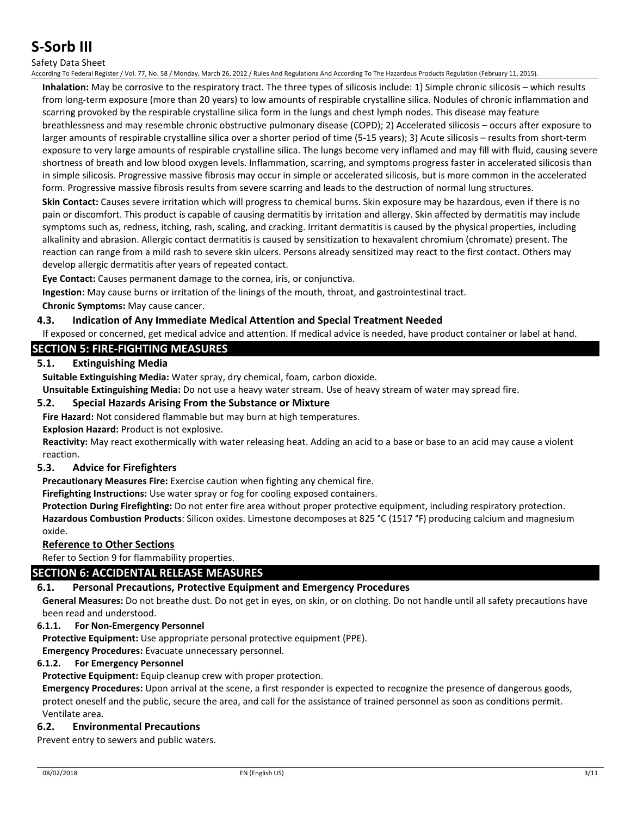#### Safety Data Sheet

According To Federal Register / Vol. 77, No. 58 / Monday, March 26, 2012 / Rules And Regulations And According To The Hazardous Products Regulation (February 11, 2015).

**Inhalation:** May be corrosive to the respiratory tract. The three types of silicosis include: 1) Simple chronic silicosis – which results from long-term exposure (more than 20 years) to low amounts of respirable crystalline silica. Nodules of chronic inflammation and scarring provoked by the respirable crystalline silica form in the lungs and chest lymph nodes. This disease may feature breathlessness and may resemble chronic obstructive pulmonary disease (COPD); 2) Accelerated silicosis – occurs after exposure to larger amounts of respirable crystalline silica over a shorter period of time (5-15 years); 3) Acute silicosis – results from short-term exposure to very large amounts of respirable crystalline silica. The lungs become very inflamed and may fill with fluid, causing severe shortness of breath and low blood oxygen levels. Inflammation, scarring, and symptoms progress faster in accelerated silicosis than in simple silicosis. Progressive massive fibrosis may occur in simple or accelerated silicosis, but is more common in the accelerated form. Progressive massive fibrosis results from severe scarring and leads to the destruction of normal lung structures.

**Skin Contact:** Causes severe irritation which will progress to chemical burns. Skin exposure may be hazardous, even if there is no pain or discomfort. This product is capable of causing dermatitis by irritation and allergy. Skin affected by dermatitis may include symptoms such as, redness, itching, rash, scaling, and cracking. Irritant dermatitis is caused by the physical properties, including alkalinity and abrasion. Allergic contact dermatitis is caused by sensitization to hexavalent chromium (chromate) present. The reaction can range from a mild rash to severe skin ulcers. Persons already sensitized may react to the first contact. Others may develop allergic dermatitis after years of repeated contact.

**Eye Contact:** Causes permanent damage to the cornea, iris, or conjunctiva.

**Ingestion:** May cause burns or irritation of the linings of the mouth, throat, and gastrointestinal tract. **Chronic Symptoms:** May cause cancer.

#### **4.3. Indication of Any Immediate Medical Attention and Special Treatment Needed**

If exposed or concerned, get medical advice and attention. If medical advice is needed, have product container or label at hand.

### **SECTION 5: FIRE-FIGHTING MEASURES**

#### **5.1. Extinguishing Media**

**Suitable Extinguishing Media:** Water spray, dry chemical, foam, carbon dioxide.

**Unsuitable Extinguishing Media:** Do not use a heavy water stream. Use of heavy stream of water may spread fire.

#### **5.2. Special Hazards Arising From the Substance or Mixture**

**Fire Hazard:** Not considered flammable but may burn at high temperatures.

**Explosion Hazard:** Product is not explosive.

**Reactivity:** May react exothermically with water releasing heat. Adding an acid to a base or base to an acid may cause a violent reaction.

#### **5.3. Advice for Firefighters**

**Precautionary Measures Fire:** Exercise caution when fighting any chemical fire.

**Firefighting Instructions:** Use water spray or fog for cooling exposed containers.

**Protection During Firefighting:** Do not enter fire area without proper protective equipment, including respiratory protection. **Hazardous Combustion Products**: Silicon oxides. Limestone decomposes at 825 °C (1517 °F) producing calcium and magnesium oxide.

#### **Reference to Other Sections**

Refer to Section 9 for flammability properties.

#### **SECTION 6: ACCIDENTAL RELEASE MEASURES**

#### **6.1. Personal Precautions, Protective Equipment and Emergency Procedures**

**General Measures:** Do not breathe dust. Do not get in eyes, on skin, or on clothing. Do not handle until all safety precautions have been read and understood.

#### **6.1.1. For Non-Emergency Personnel**

**Protective Equipment:** Use appropriate personal protective equipment (PPE).

**Emergency Procedures:** Evacuate unnecessary personnel.

#### **6.1.2. For Emergency Personnel**

**Protective Equipment:** Equip cleanup crew with proper protection.

**Emergency Procedures:** Upon arrival at the scene, a first responder is expected to recognize the presence of dangerous goods, protect oneself and the public, secure the area, and call for the assistance of trained personnel as soon as conditions permit. Ventilate area.

#### **6.2. Environmental Precautions**

Prevent entry to sewers and public waters.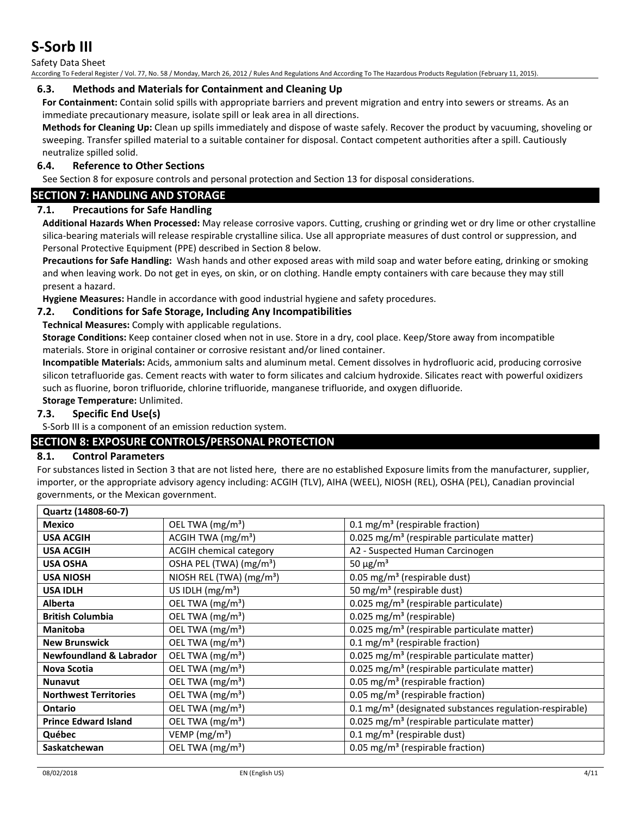Safety Data Sheet

According To Federal Register / Vol. 77, No. 58 / Monday, March 26, 2012 / Rules And Regulations And According To The Hazardous Products Regulation (February 11, 2015).

#### **6.3. Methods and Materials for Containment and Cleaning Up**

**For Containment:** Contain solid spills with appropriate barriers and prevent migration and entry into sewers or streams. As an immediate precautionary measure, isolate spill or leak area in all directions.

**Methods for Cleaning Up:** Clean up spills immediately and dispose of waste safely. Recover the product by vacuuming, shoveling or sweeping. Transfer spilled material to a suitable container for disposal. Contact competent authorities after a spill. Cautiously neutralize spilled solid.

#### **6.4. Reference to Other Sections**

See Section 8 for exposure controls and personal protection and Section 13 for disposal considerations.

### **SECTION 7: HANDLING AND STORAGE**

### **7.1. Precautions for Safe Handling**

**Additional Hazards When Processed:** May release corrosive vapors. Cutting, crushing or grinding wet or dry lime or other crystalline silica-bearing materials will release respirable crystalline silica. Use all appropriate measures of dust control or suppression, and Personal Protective Equipment (PPE) described in Section 8 below.

**Precautions for Safe Handling:** Wash hands and other exposed areas with mild soap and water before eating, drinking or smoking and when leaving work. Do not get in eyes, on skin, or on clothing. Handle empty containers with care because they may still present a hazard.

**Hygiene Measures:** Handle in accordance with good industrial hygiene and safety procedures.

#### **7.2. Conditions for Safe Storage, Including Any Incompatibilities**

**Technical Measures:** Comply with applicable regulations.

**Storage Conditions:** Keep container closed when not in use. Store in a dry, cool place. Keep/Store away from incompatible materials. Store in original container or corrosive resistant and/or lined container.

**Incompatible Materials:** Acids, ammonium salts and aluminum metal. Cement dissolves in hydrofluoric acid, producing corrosive silicon tetrafluoride gas. Cement reacts with water to form silicates and calcium hydroxide. Silicates react with powerful oxidizers such as fluorine, boron trifluoride, chlorine trifluoride, manganese trifluoride, and oxygen difluoride.

#### **Storage Temperature:** Unlimited.

### **7.3. Specific End Use(s)**

S-Sorb III is a component of an emission reduction system.

### **SECTION 8: EXPOSURE CONTROLS/PERSONAL PROTECTION**

#### **8.1. Control Parameters**

For substances listed in Section 3 that are not listed here, there are no established Exposure limits from the manufacturer, supplier, importer, or the appropriate advisory agency including: ACGIH (TLV), AIHA (WEEL), NIOSH (REL), OSHA (PEL), Canadian provincial governments, or the Mexican government.

| Quartz (14808-60-7)                |                                      |                                                                     |
|------------------------------------|--------------------------------------|---------------------------------------------------------------------|
| <b>Mexico</b>                      | OEL TWA (mg/m <sup>3</sup> )         | $0.1 \text{ mg/m}^3$ (respirable fraction)                          |
| <b>USA ACGIH</b>                   | ACGIH TWA $(mg/m3)$                  | 0.025 mg/m <sup>3</sup> (respirable particulate matter)             |
| <b>USA ACGIH</b>                   | <b>ACGIH chemical category</b>       | A2 - Suspected Human Carcinogen                                     |
| <b>USA OSHA</b>                    | OSHA PEL (TWA) (mg/m <sup>3</sup> )  | 50 $\mu$ g/m <sup>3</sup>                                           |
| <b>USA NIOSH</b>                   | NIOSH REL (TWA) (mg/m <sup>3</sup> ) | 0.05 mg/m <sup>3</sup> (respirable dust)                            |
| <b>USA IDLH</b>                    | US IDLH (mg/m <sup>3</sup> )         | 50 mg/m <sup>3</sup> (respirable dust)                              |
| <b>Alberta</b>                     | OEL TWA (mg/m <sup>3</sup> )         | 0.025 mg/m <sup>3</sup> (respirable particulate)                    |
| <b>British Columbia</b>            | OEL TWA (mg/m <sup>3</sup> )         | $0.025$ mg/m <sup>3</sup> (respirable)                              |
| <b>Manitoba</b>                    | OEL TWA (mg/m <sup>3</sup> )         | 0.025 mg/m <sup>3</sup> (respirable particulate matter)             |
| <b>New Brunswick</b>               | OEL TWA (mg/m <sup>3</sup> )         | $0.1 \text{ mg/m}^3$ (respirable fraction)                          |
| <b>Newfoundland &amp; Labrador</b> | OEL TWA (mg/m <sup>3</sup> )         | 0.025 mg/m <sup>3</sup> (respirable particulate matter)             |
| Nova Scotia                        | OEL TWA (mg/m <sup>3</sup> )         | 0.025 mg/m <sup>3</sup> (respirable particulate matter)             |
| <b>Nunavut</b>                     | OEL TWA (mg/m <sup>3</sup> )         | 0.05 mg/m <sup>3</sup> (respirable fraction)                        |
| <b>Northwest Territories</b>       | OEL TWA (mg/m <sup>3</sup> )         | 0.05 mg/m <sup>3</sup> (respirable fraction)                        |
| <b>Ontario</b>                     | OEL TWA (mg/m <sup>3</sup> )         | 0.1 mg/m <sup>3</sup> (designated substances regulation-respirable) |
| <b>Prince Edward Island</b>        | OEL TWA (mg/m <sup>3</sup> )         | 0.025 mg/m <sup>3</sup> (respirable particulate matter)             |
| Québec                             | VEMP ( $mg/m3$ )                     | 0.1 mg/m <sup>3</sup> (respirable dust)                             |
| Saskatchewan                       | OEL TWA (mg/m <sup>3</sup> )         | 0.05 mg/m <sup>3</sup> (respirable fraction)                        |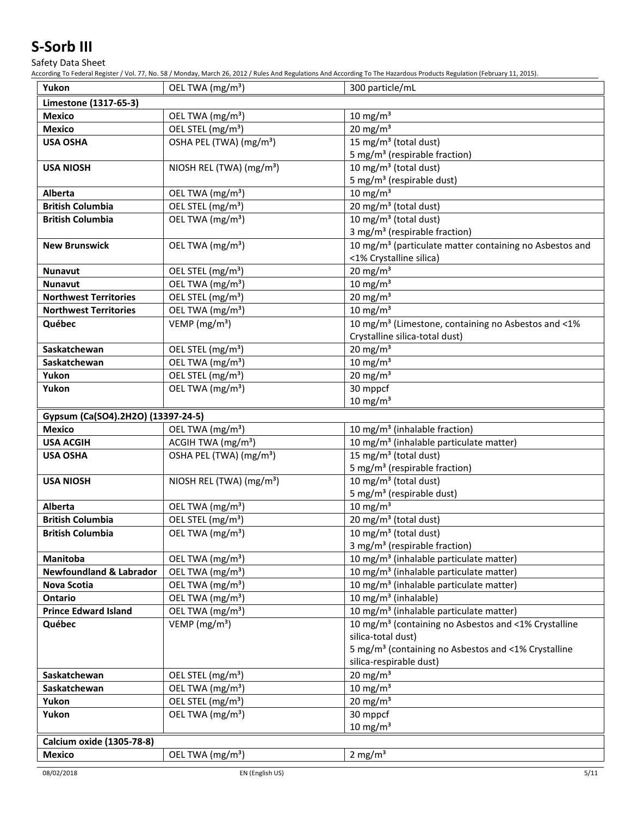Safety Data Sheet

According To Federal Register / Vol. 77, No. 58 / Monday, March 26, 2012 / Rules And Regulations And According To The Hazardous Products Regulation (February 11, 2015).

| Yukon                                          | OEL TWA (mg/m <sup>3</sup> )                                 | 300 particle/mL                                                                                            |
|------------------------------------------------|--------------------------------------------------------------|------------------------------------------------------------------------------------------------------------|
| Limestone (1317-65-3)                          |                                                              |                                                                                                            |
| <b>Mexico</b>                                  | OEL TWA (mg/m <sup>3</sup> )                                 | $10 \text{ mg/m}^3$                                                                                        |
| Mexico                                         | OEL STEL (mg/m <sup>3</sup> )                                | $20$ mg/m <sup>3</sup>                                                                                     |
| <b>USA OSHA</b>                                | OSHA PEL (TWA) (mg/m <sup>3</sup> )                          | $15 \,\mathrm{mg/m^3}$ (total dust)                                                                        |
|                                                |                                                              | 5 mg/m <sup>3</sup> (respirable fraction)                                                                  |
| <b>USA NIOSH</b>                               | NIOSH REL (TWA) (mg/m <sup>3</sup> )                         | 10 mg/m <sup>3</sup> (total dust)                                                                          |
|                                                |                                                              | 5 mg/m <sup>3</sup> (respirable dust)                                                                      |
| <b>Alberta</b>                                 | OEL TWA (mg/m <sup>3</sup> )                                 | $10 \text{ mg/m}^3$                                                                                        |
| <b>British Columbia</b>                        | OEL STEL (mg/m <sup>3</sup> )                                | 20 mg/m <sup>3</sup> (total dust)                                                                          |
| <b>British Columbia</b>                        | OEL TWA (mg/m <sup>3</sup> )                                 | 10 mg/m <sup>3</sup> (total dust)                                                                          |
|                                                |                                                              | 3 mg/m <sup>3</sup> (respirable fraction)                                                                  |
| <b>New Brunswick</b>                           | OEL TWA (mg/m <sup>3</sup> )                                 | 10 mg/m <sup>3</sup> (particulate matter containing no Asbestos and                                        |
|                                                |                                                              | <1% Crystalline silica)                                                                                    |
| <b>Nunavut</b>                                 | OEL STEL (mg/m <sup>3</sup> )                                | 20 mg/m $3$                                                                                                |
| <b>Nunavut</b>                                 | OEL TWA (mg/m <sup>3</sup> )                                 | 10 mg/m $3$                                                                                                |
| <b>Northwest Territories</b>                   | OEL STEL (mg/m <sup>3</sup> )                                | $20 \text{ mg/m}^3$                                                                                        |
| <b>Northwest Territories</b>                   | OEL TWA (mg/m <sup>3</sup> )                                 | 10 mg/m $3$                                                                                                |
| Québec                                         | VEMP ( $mg/m3$ )                                             | 10 mg/m <sup>3</sup> (Limestone, containing no Asbestos and <1%                                            |
|                                                |                                                              | Crystalline silica-total dust)                                                                             |
| Saskatchewan                                   | OEL STEL (mg/m <sup>3</sup> )                                | $20 \text{ mg/m}^3$                                                                                        |
| Saskatchewan                                   | OEL TWA (mg/m <sup>3</sup> )                                 | $10 \text{ mg/m}^3$                                                                                        |
| Yukon                                          | OEL STEL (mg/m <sup>3</sup> )                                | $20 \text{ mg/m}^3$                                                                                        |
| Yukon                                          | OEL TWA (mg/m <sup>3</sup> )                                 | 30 mppcf                                                                                                   |
|                                                |                                                              | $10 \text{ mg/m}^3$                                                                                        |
| Gypsum (Ca(SO4).2H2O) (13397-24-5)             |                                                              |                                                                                                            |
| <b>Mexico</b>                                  | OEL TWA (mg/m <sup>3</sup> )                                 | 10 mg/m <sup>3</sup> (inhalable fraction)                                                                  |
| <b>USA ACGIH</b>                               | ACGIH TWA (mg/m <sup>3</sup> )                               | 10 mg/m <sup>3</sup> (inhalable particulate matter)                                                        |
| <b>USA OSHA</b>                                | OSHA PEL (TWA) (mg/m <sup>3</sup> )                          | 15 mg/m <sup>3</sup> (total dust)                                                                          |
|                                                |                                                              | 5 mg/m <sup>3</sup> (respirable fraction)                                                                  |
| <b>USA NIOSH</b>                               | NIOSH REL (TWA) (mg/m <sup>3</sup> )                         | 10 mg/m <sup>3</sup> (total dust)                                                                          |
|                                                |                                                              | 5 mg/m <sup>3</sup> (respirable dust)                                                                      |
| Alberta                                        | OEL TWA (mg/m <sup>3</sup> )                                 | $10 \text{ mg/m}^3$                                                                                        |
| <b>British Columbia</b>                        | OEL STEL (mg/m <sup>3</sup> )                                | $\overline{20}$ mg/m <sup>3</sup> (total dust)                                                             |
| <b>British Columbia</b>                        | OEL TWA (mg/m <sup>3</sup> )                                 | 10 mg/m <sup>3</sup> (total dust)                                                                          |
|                                                |                                                              | 3 mg/m <sup>3</sup> (respirable fraction)                                                                  |
| Manitoba<br><b>Newfoundland &amp; Labrador</b> | OEL TWA (mg/m <sup>3</sup> )                                 | 10 mg/m <sup>3</sup> (inhalable particulate matter)                                                        |
| <b>Nova Scotia</b>                             | OEL TWA (mg/m <sup>3</sup> )<br>OEL TWA (mg/m <sup>3</sup> ) | 10 mg/m <sup>3</sup> (inhalable particulate matter)<br>10 mg/m <sup>3</sup> (inhalable particulate matter) |
| Ontario                                        | OEL TWA (mg/m <sup>3</sup> )                                 | 10 mg/m <sup>3</sup> (inhalable)                                                                           |
| <b>Prince Edward Island</b>                    | OEL TWA (mg/m <sup>3</sup> )                                 | 10 mg/m <sup>3</sup> (inhalable particulate matter)                                                        |
| Québec                                         | VEMP ( $mg/m3$ )                                             | 10 mg/m <sup>3</sup> (containing no Asbestos and <1% Crystalline                                           |
|                                                |                                                              | silica-total dust)                                                                                         |
|                                                |                                                              | 5 mg/m <sup>3</sup> (containing no Asbestos and <1% Crystalline                                            |
|                                                |                                                              | silica-respirable dust)                                                                                    |
| Saskatchewan                                   | OEL STEL (mg/m <sup>3</sup> )                                | $20 \text{ mg/m}^3$                                                                                        |
| Saskatchewan                                   | OEL TWA (mg/m <sup>3</sup> )                                 | 10 mg/m $3$                                                                                                |
| Yukon                                          | OEL STEL (mg/m <sup>3</sup> )                                | 20 mg/m $3$                                                                                                |
| Yukon                                          | OEL TWA (mg/m <sup>3</sup> )                                 | 30 mppcf                                                                                                   |
|                                                |                                                              | $10 \text{ mg/m}^3$                                                                                        |
| Calcium oxide (1305-78-8)                      |                                                              |                                                                                                            |
| <b>Mexico</b>                                  | OEL TWA (mg/m <sup>3</sup> )                                 | 2 mg/ $m3$                                                                                                 |
|                                                |                                                              |                                                                                                            |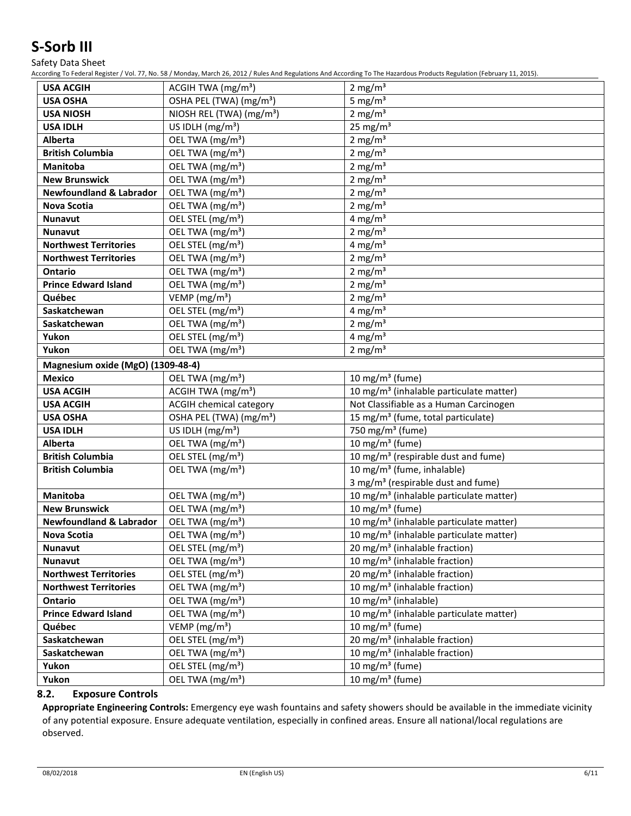Safety Data Sheet

According To Federal Register / Vol. 77, No. 58 / Monday, March 26, 2012 / Rules And Regulations And According To The Hazardous Products Regulation (February 11, 2015).

| <b>USA ACGIH</b>                   | ACGIH TWA (mg/m <sup>3</sup> )       | 2 mg/m <sup>3</sup>                                 |
|------------------------------------|--------------------------------------|-----------------------------------------------------|
| <b>USA OSHA</b>                    | OSHA PEL (TWA) (mg/m <sup>3</sup> )  | 5 mg/ $m3$                                          |
| <b>USA NIOSH</b>                   | NIOSH REL (TWA) (mg/m <sup>3</sup> ) | 2 mg/ $m3$                                          |
| <b>USA IDLH</b>                    | US IDLH (mg/m <sup>3</sup> )         | 25 mg/ $m3$                                         |
| <b>Alberta</b>                     | OEL TWA (mg/m <sup>3</sup> )         | 2 mg/ $m3$                                          |
| <b>British Columbia</b>            | OEL TWA (mg/m <sup>3</sup> )         | 2 mg/m $3$                                          |
| <b>Manitoba</b>                    | OEL TWA (mg/m <sup>3</sup> )         | 2 mg/m $3$                                          |
| <b>New Brunswick</b>               | OEL TWA (mg/m <sup>3</sup> )         | 2 mg/ $m3$                                          |
| <b>Newfoundland &amp; Labrador</b> | OEL TWA (mg/m <sup>3</sup> )         | 2 mg/ $m3$                                          |
| <b>Nova Scotia</b>                 | OEL TWA (mg/m <sup>3</sup> )         | 2 mg/ $m3$                                          |
| <b>Nunavut</b>                     | OEL STEL (mg/m <sup>3</sup> )        | 4 mg/m $3$                                          |
| <b>Nunavut</b>                     | OEL TWA (mg/m <sup>3</sup> )         | 2 mg/ $m3$                                          |
| <b>Northwest Territories</b>       | OEL STEL (mg/m <sup>3</sup> )        | 4 mg/ $m3$                                          |
| <b>Northwest Territories</b>       | OEL TWA (mg/m <sup>3</sup> )         | 2 mg/ $m3$                                          |
| <b>Ontario</b>                     | OEL TWA (mg/m <sup>3</sup> )         | 2 mg/m $3$                                          |
| <b>Prince Edward Island</b>        | OEL TWA (mg/m <sup>3</sup> )         | 2 mg/ $m3$                                          |
| Québec                             | VEMP ( $mg/m3$ )                     | 2 mg/ $m3$                                          |
| Saskatchewan                       | OEL STEL (mg/m <sup>3</sup> )        | 4 mg/m $3$                                          |
| Saskatchewan                       | OEL TWA (mg/m <sup>3</sup> )         | 2 mg/m <sup>3</sup>                                 |
| Yukon                              | OEL STEL (mg/m <sup>3</sup> )        | 4 mg/m <sup>3</sup>                                 |
| Yukon                              | OEL TWA (mg/m <sup>3</sup> )         | 2 mg/m $3$                                          |
| Magnesium oxide (MgO) (1309-48-4)  |                                      |                                                     |
| <b>Mexico</b>                      | OEL TWA (mg/m <sup>3</sup> )         | 10 mg/m $3$ (fume)                                  |
| <b>USA ACGIH</b>                   | ACGIH TWA (mg/m <sup>3</sup> )       | 10 mg/m <sup>3</sup> (inhalable particulate matter) |
| <b>USA ACGIH</b>                   | <b>ACGIH chemical category</b>       | Not Classifiable as a Human Carcinogen              |
| <b>USA OSHA</b>                    | OSHA PEL (TWA) (mg/m <sup>3</sup> )  | 15 mg/m <sup>3</sup> (fume, total particulate)      |
| <b>USA IDLH</b>                    | US IDLH $(mg/m3)$                    | 750 mg/m <sup>3</sup> (fume)                        |
| <b>Alberta</b>                     | OEL TWA (mg/m <sup>3</sup> )         | $10$ mg/m <sup>3</sup> (fume)                       |
| <b>British Columbia</b>            | OEL STEL (mg/m <sup>3</sup> )        | 10 mg/m <sup>3</sup> (respirable dust and fume)     |
| <b>British Columbia</b>            | OEL TWA (mg/m <sup>3</sup> )         | 10 mg/m <sup>3</sup> (fume, inhalable)              |
|                                    |                                      | 3 mg/m <sup>3</sup> (respirable dust and fume)      |
| Manitoba                           | OEL TWA (mg/m <sup>3</sup> )         | 10 mg/m <sup>3</sup> (inhalable particulate matter) |
| <b>New Brunswick</b>               | OEL TWA (mg/m <sup>3</sup> )         | 10 mg/m $3$ (fume)                                  |
| <b>Newfoundland &amp; Labrador</b> | OEL TWA (mg/m <sup>3</sup> )         | 10 mg/m <sup>3</sup> (inhalable particulate matter) |
| Nova Scotia                        | OEL TWA (mg/m <sup>3</sup> )         | 10 mg/m <sup>3</sup> (inhalable particulate matter) |
| Nunavut                            | OEL STEL (mg/m <sup>3</sup> )        | 20 mg/m <sup>3</sup> (inhalable fraction)           |
| <b>Nunavut</b>                     | OEL TWA (mg/m <sup>3</sup> )         | 10 mg/m <sup>3</sup> (inhalable fraction)           |
| <b>Northwest Territories</b>       | OEL STEL (mg/m <sup>3</sup> )        | 20 mg/m <sup>3</sup> (inhalable fraction)           |
| <b>Northwest Territories</b>       | OEL TWA (mg/m <sup>3</sup> )         | 10 mg/m <sup>3</sup> (inhalable fraction)           |
| Ontario                            | OEL TWA (mg/m <sup>3</sup> )         | 10 mg/m <sup>3</sup> (inhalable)                    |
| <b>Prince Edward Island</b>        | OEL TWA (mg/m <sup>3</sup> )         | 10 mg/m <sup>3</sup> (inhalable particulate matter) |
| Québec                             | VEMP ( $mg/m3$ )                     | 10 mg/m <sup>3</sup> (fume)                         |
| Saskatchewan                       | OEL STEL (mg/m <sup>3</sup> )        | 20 mg/m <sup>3</sup> (inhalable fraction)           |
| Saskatchewan                       | OEL TWA (mg/m <sup>3</sup> )         | 10 mg/m <sup>3</sup> (inhalable fraction)           |
| Yukon                              | OEL STEL (mg/m <sup>3</sup> )        | 10 mg/m <sup>3</sup> (fume)                         |
| Yukon                              | OEL TWA (mg/m <sup>3</sup> )         | 10 mg/m <sup>3</sup> (fume)                         |

#### **8.2. Exposure Controls**

**Appropriate Engineering Controls:** Emergency eye wash fountains and safety showers should be available in the immediate vicinity of any potential exposure. Ensure adequate ventilation, especially in confined areas. Ensure all national/local regulations are observed.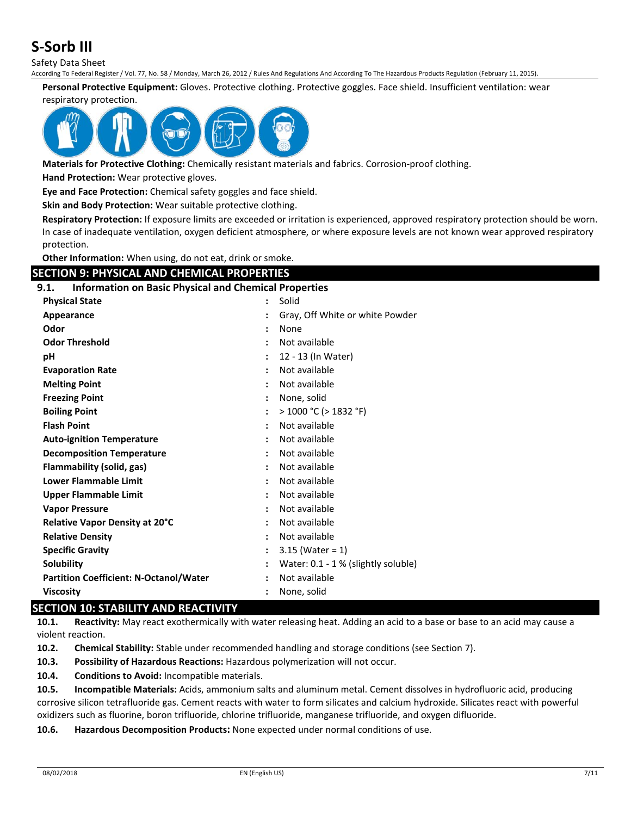Safety Data Sheet

According To Federal Register / Vol. 77, No. 58 / Monday, March 26, 2012 / Rules And Regulations And According To The Hazardous Products Regulation (February 11, 2015).

**Personal Protective Equipment:** Gloves. Protective clothing. Protective goggles. Face shield. Insufficient ventilation: wear

#### respiratory protection.



**Materials for Protective Clothing:** Chemically resistant materials and fabrics. Corrosion-proof clothing.

**Hand Protection:** Wear protective gloves.

**Eye and Face Protection:** Chemical safety goggles and face shield.

**Skin and Body Protection:** Wear suitable protective clothing.

**Respiratory Protection:** If exposure limits are exceeded or irritation is experienced, approved respiratory protection should be worn. In case of inadequate ventilation, oxygen deficient atmosphere, or where exposure levels are not known wear approved respiratory protection.

**Other Information:** When using, do not eat, drink or smoke.

## **SECTION 9: PHYSICAL AND CHEMICAL PROPERTIES**

#### **9.1. Information on Basic Physical and Chemical Properties**

| <b>Physical State</b>                         | $\ddot{\phantom{a}}$ | Solid                               |
|-----------------------------------------------|----------------------|-------------------------------------|
| Appearance                                    |                      | Gray, Off White or white Powder     |
| Odor                                          |                      | None                                |
| <b>Odor Threshold</b>                         |                      | Not available                       |
| рH                                            |                      | 12 - 13 (In Water)                  |
| <b>Evaporation Rate</b>                       |                      | Not available                       |
| <b>Melting Point</b>                          |                      | Not available                       |
| <b>Freezing Point</b>                         |                      | None, solid                         |
| <b>Boiling Point</b>                          |                      | $>$ 1000 °C ( $>$ 1832 °F)          |
| <b>Flash Point</b>                            |                      | Not available                       |
| <b>Auto-ignition Temperature</b>              |                      | Not available                       |
| <b>Decomposition Temperature</b>              | $\ddot{\phantom{a}}$ | Not available                       |
| Flammability (solid, gas)                     |                      | Not available                       |
| <b>Lower Flammable Limit</b>                  |                      | Not available                       |
| <b>Upper Flammable Limit</b>                  | $\ddot{\phantom{a}}$ | Not available                       |
| <b>Vapor Pressure</b>                         |                      | Not available                       |
| Relative Vapor Density at 20°C                |                      | Not available                       |
| <b>Relative Density</b>                       | $\ddot{\phantom{a}}$ | Not available                       |
| <b>Specific Gravity</b>                       |                      | $3.15$ (Water = 1)                  |
| <b>Solubility</b>                             |                      | Water: 0.1 - 1 % (slightly soluble) |
| <b>Partition Coefficient: N-Octanol/Water</b> | $\ddot{\phantom{a}}$ | Not available                       |
| <b>Viscosity</b>                              |                      | None, solid                         |

### **SECTION 10: STABILITY AND REACTIVITY**

**10.1. Reactivity:** May react exothermically with water releasing heat. Adding an acid to a base or base to an acid may cause a violent reaction.

**10.2. Chemical Stability:** Stable under recommended handling and storage conditions (see Section 7).

**10.3. Possibility of Hazardous Reactions:** Hazardous polymerization will not occur.

**10.4. Conditions to Avoid:** Incompatible materials.

**10.5. Incompatible Materials:** Acids, ammonium salts and aluminum metal. Cement dissolves in hydrofluoric acid, producing corrosive silicon tetrafluoride gas. Cement reacts with water to form silicates and calcium hydroxide. Silicates react with powerful oxidizers such as fluorine, boron trifluoride, chlorine trifluoride, manganese trifluoride, and oxygen difluoride.

**10.6. Hazardous Decomposition Products:** None expected under normal conditions of use.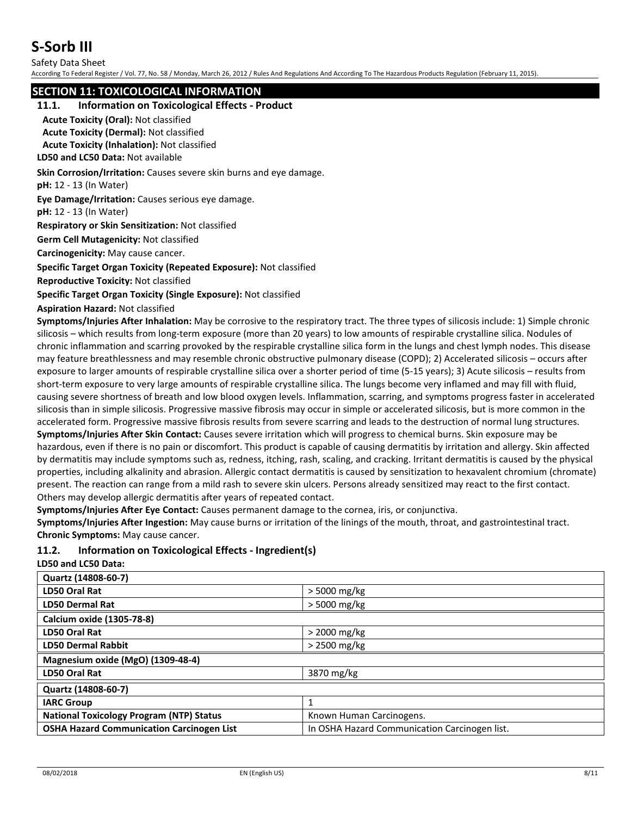Safety Data Sheet

According To Federal Register / Vol. 77, No. 58 / Monday, March 26, 2012 / Rules And Regulations And According To The Hazardous Products Regulation (February 11, 2015).

### **SECTION 11: TOXICOLOGICAL INFORMATION**

#### **11.1. Information on Toxicological Effects - Product**

**Acute Toxicity (Oral):** Not classified

**Acute Toxicity (Dermal):** Not classified

**Acute Toxicity (Inhalation):** Not classified

**LD50 and LC50 Data:** Not available

**Skin Corrosion/Irritation:** Causes severe skin burns and eye damage.

**pH:** 12 - 13 (In Water)

**Eye Damage/Irritation:** Causes serious eye damage.

**pH:** 12 - 13 (In Water)

**Respiratory or Skin Sensitization:** Not classified

**Germ Cell Mutagenicity:** Not classified

**Carcinogenicity:** May cause cancer.

**Specific Target Organ Toxicity (Repeated Exposure):** Not classified

**Reproductive Toxicity:** Not classified

**Specific Target Organ Toxicity (Single Exposure):** Not classified

**Aspiration Hazard:** Not classified

**Symptoms/Injuries After Inhalation:** May be corrosive to the respiratory tract. The three types of silicosis include: 1) Simple chronic silicosis – which results from long-term exposure (more than 20 years) to low amounts of respirable crystalline silica. Nodules of chronic inflammation and scarring provoked by the respirable crystalline silica form in the lungs and chest lymph nodes. This disease may feature breathlessness and may resemble chronic obstructive pulmonary disease (COPD); 2) Accelerated silicosis – occurs after exposure to larger amounts of respirable crystalline silica over a shorter period of time (5-15 years); 3) Acute silicosis – results from short-term exposure to very large amounts of respirable crystalline silica. The lungs become very inflamed and may fill with fluid, causing severe shortness of breath and low blood oxygen levels. Inflammation, scarring, and symptoms progress faster in accelerated silicosis than in simple silicosis. Progressive massive fibrosis may occur in simple or accelerated silicosis, but is more common in the accelerated form. Progressive massive fibrosis results from severe scarring and leads to the destruction of normal lung structures. **Symptoms/Injuries After Skin Contact:** Causes severe irritation which will progress to chemical burns. Skin exposure may be hazardous, even if there is no pain or discomfort. This product is capable of causing dermatitis by irritation and allergy. Skin affected by dermatitis may include symptoms such as, redness, itching, rash, scaling, and cracking. Irritant dermatitis is caused by the physical properties, including alkalinity and abrasion. Allergic contact dermatitis is caused by sensitization to hexavalent chromium (chromate) present. The reaction can range from a mild rash to severe skin ulcers. Persons already sensitized may react to the first contact. Others may develop allergic dermatitis after years of repeated contact.

**Symptoms/Injuries After Eye Contact:** Causes permanent damage to the cornea, iris, or conjunctiva.

**Symptoms/Injuries After Ingestion:** May cause burns or irritation of the linings of the mouth, throat, and gastrointestinal tract. **Chronic Symptoms:** May cause cancer.

### **11.2. Information on Toxicological Effects - Ingredient(s)**

**LD50 and LC50 Data:**

| $>$ 5000 mg/kg                                |  |  |
|-----------------------------------------------|--|--|
| $>$ 5000 mg/kg                                |  |  |
|                                               |  |  |
| $>$ 2000 mg/kg                                |  |  |
| $>$ 2500 mg/kg                                |  |  |
| Magnesium oxide (MgO) (1309-48-4)             |  |  |
| 3870 mg/kg                                    |  |  |
| Quartz (14808-60-7)                           |  |  |
|                                               |  |  |
| Known Human Carcinogens.                      |  |  |
| In OSHA Hazard Communication Carcinogen list. |  |  |
|                                               |  |  |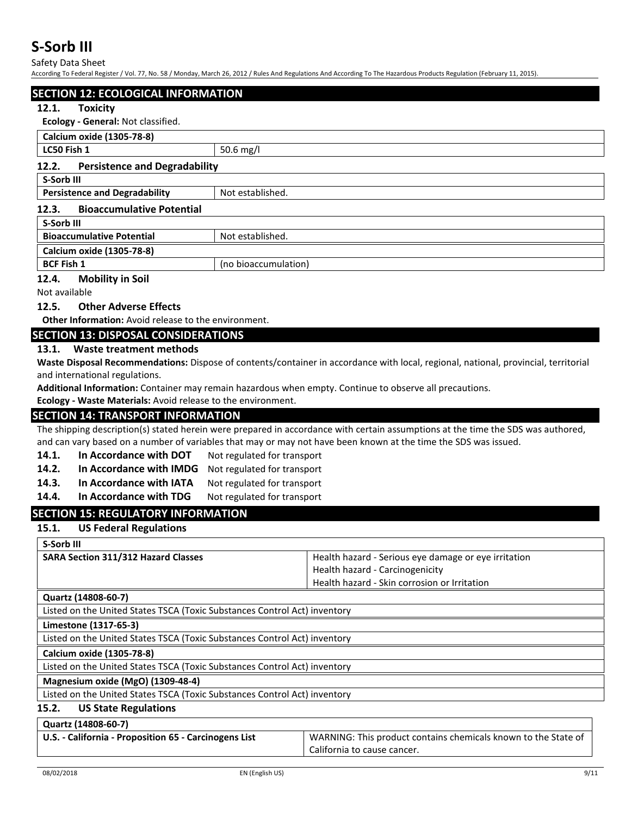Safety Data Sheet

According To Federal Register / Vol. 77, No. 58 / Monday, March 26, 2012 / Rules And Regulations And According To The Hazardous Products Regulation (February 11, 2015).

#### **SECTION 12: ECOLOGICAL INFORMATION**

#### **12.1. Toxicity**

**Ecology - General:** Not classified.

| Calcium oxide (1305-78-8)                                |                      |  |
|----------------------------------------------------------|----------------------|--|
| LC50 Fish 1                                              | 50.6 mg/l            |  |
| <b>Persistence and Degradability</b><br>12.2.            |                      |  |
| S-Sorb III                                               |                      |  |
| Not established.<br><b>Persistence and Degradability</b> |                      |  |
| <b>Bioaccumulative Potential</b><br>12.3.                |                      |  |
| S-Sorb III                                               |                      |  |
| <b>Bioaccumulative Potential</b>                         | Not established.     |  |
| Calcium oxide (1305-78-8)                                |                      |  |
| <b>BCF Fish 1</b>                                        | (no bioaccumulation) |  |

#### **12.4. Mobility in Soil**

Not available

#### **12.5. Other Adverse Effects**

**Other Information:** Avoid release to the environment.

### **SECTION 13: DISPOSAL CONSIDERATIONS**

#### **13.1. Waste treatment methods**

**Waste Disposal Recommendations:** Dispose of contents/container in accordance with local, regional, national, provincial, territorial and international regulations.

**Additional Information:** Container may remain hazardous when empty. Continue to observe all precautions.

**Ecology - Waste Materials:** Avoid release to the environment.

### **SECTION 14: TRANSPORT INFORMATION**

The shipping description(s) stated herein were prepared in accordance with certain assumptions at the time the SDS was authored, and can vary based on a number of variables that may or may not have been known at the time the SDS was issued.

- 14.1. In Accordance with DOT Not regulated for transport
- 14.2. **In Accordance with IMDG** Not regulated for transport
- 14.3. In Accordance with IATA Not regulated for transport
- 14.4. In Accordance with TDG Not regulated for transport

### **SECTION 15: REGULATORY INFORMATION**

#### **15.1. US Federal Regulations**

**S-Sorb III SARA Section 311/312 Hazard Classes** Health hazard - Serious eye damage or eye irritation Health hazard - Carcinogenicity Health hazard - Skin corrosion or Irritation **Quartz (14808-60-7)** Listed on the United States TSCA (Toxic Substances Control Act) inventory **Limestone (1317-65-3)** Listed on the United States TSCA (Toxic Substances Control Act) inventory **Calcium oxide (1305-78-8)** Listed on the United States TSCA (Toxic Substances Control Act) inventory **Magnesium oxide (MgO) (1309-48-4)** Listed on the United States TSCA (Toxic Substances Control Act) inventory **15.2. US State Regulations Quartz (14808-60-7) U.S. - California - Proposition 65 - Carcinogens List** WARNING: This product contains chemicals known to the State of California to cause cancer.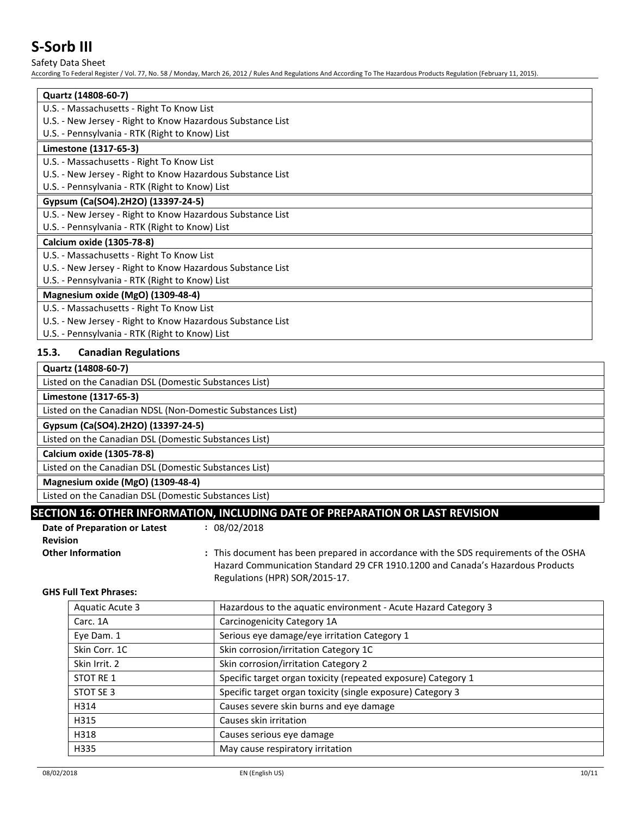Safety Data Sheet

According To Federal Register / Vol. 77, No. 58 / Monday, March 26, 2012 / Rules And Regulations And According To The Hazardous Products Regulation (February 11, 2015).

| Quartz (14808-60-7)                                        |
|------------------------------------------------------------|
| U.S. - Massachusetts - Right To Know List                  |
| U.S. - New Jersey - Right to Know Hazardous Substance List |
| U.S. - Pennsylvania - RTK (Right to Know) List             |
| Limestone (1317-65-3)                                      |
| U.S. - Massachusetts - Right To Know List                  |
| U.S. - New Jersey - Right to Know Hazardous Substance List |
| U.S. - Pennsylvania - RTK (Right to Know) List             |
| Gypsum (Ca(SO4).2H2O) (13397-24-5)                         |
| U.S. - New Jersey - Right to Know Hazardous Substance List |
| U.S. - Pennsylvania - RTK (Right to Know) List             |
| Calcium oxide (1305-78-8)                                  |
| U.S. - Massachusetts - Right To Know List                  |
| U.S. - New Jersey - Right to Know Hazardous Substance List |
| U.S. - Pennsylvania - RTK (Right to Know) List             |
| Magnesium oxide (MgO) (1309-48-4)                          |
| U.S. - Massachusetts - Right To Know List                  |
| U.S. - New Jersey - Right to Know Hazardous Substance List |

U.S. - Pennsylvania - RTK (Right to Know) List

#### **15.3. Canadian Regulations**

| Quartz (14808-60-7)                                        |
|------------------------------------------------------------|
| Listed on the Canadian DSL (Domestic Substances List)      |
| Limestone (1317-65-3)                                      |
| Listed on the Canadian NDSL (Non-Domestic Substances List) |
| Gypsum (Ca(SO4).2H2O) (13397-24-5)                         |
| Listed on the Canadian DSL (Domestic Substances List)      |
| Calcium oxide (1305-78-8)                                  |
| Listed on the Canadian DSL (Domestic Substances List)      |
| Magnesium oxide (MgO) (1309-48-4)                          |
| Listed on the Canadian DSL (Domestic Substances List)      |

# **SECTION 16: OTHER INFORMATION, INCLUDING DATE OF PREPARATION OR LAST REVISION**

| Date of Preparation or Latest | : 08/02/2018 |
|-------------------------------|--------------|
| <b>Revision</b>               |              |
|                               |              |

**Other Information :** This document has been prepared in accordance with the SDS requirements of the OSHA Hazard Communication Standard 29 CFR 1910.1200 and Canada's Hazardous Products Regulations (HPR) SOR/2015-17.

## **GHS Full Text Phrases:**

| Aquatic Acute 3 | Hazardous to the aquatic environment - Acute Hazard Category 3 |
|-----------------|----------------------------------------------------------------|
| Carc. 1A        | Carcinogenicity Category 1A                                    |
| Eye Dam. 1      | Serious eye damage/eye irritation Category 1                   |
| Skin Corr. 1C   | Skin corrosion/irritation Category 1C                          |
| Skin Irrit. 2   | Skin corrosion/irritation Category 2                           |
| STOT RE 1       | Specific target organ toxicity (repeated exposure) Category 1  |
| STOT SE 3       | Specific target organ toxicity (single exposure) Category 3    |
| H314            | Causes severe skin burns and eye damage                        |
| H315            | Causes skin irritation                                         |
| H318            | Causes serious eye damage                                      |
| H335            | May cause respiratory irritation                               |